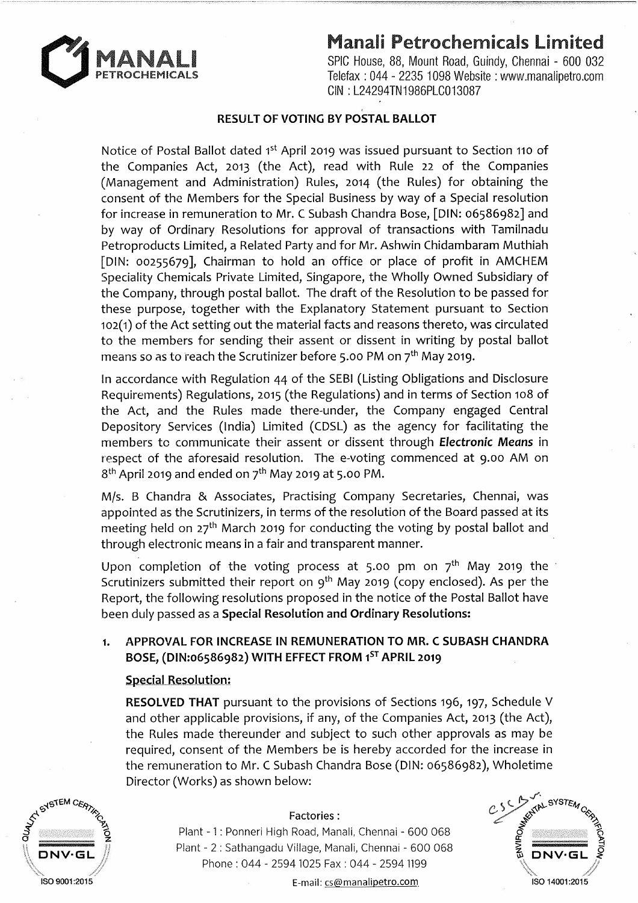## o~~c~~~! **Manali Petrochemicals Limited**



SPIC House, 88, Mount Road, Guindy, Chennai - 600 032 Telefax : 044 - 2235 1098 Website : www.manalipetro.com GIN : L24294TN1986PLC013087

## **RESULT OF VOTING BY POSTAL BALLOT**

Notice of Postal Ballot dated 1<sup>st</sup> April 2019 was issued pursuant to Section 110 of the Companies Act, 2013 (the Act), read with Rule 22 of the Companies (Management and Administration) Rules, 2014 (the Rules) for obtaining the consent of the Members for the Special Business by way of a Special resolution for increase in remuneration to Mr. C Subash Chandra Bose, [DIN: 06586982] and by way of Ordinary Resolutions for approval of transactions with Tamilnadu Petroproducts Limited, a Related Party and for Mr. Ashwin Chidambaram Muthiah [DIN: 00255679], Chairman to hold an office or place of profit in AMCHEM Speciality Chemicals Private Limited, Singapore, the Wholly Owned Subsidiary of the Company, through postal ballot. The draft of the Resolution to be passed for these purpose, together with the Explanatory Statement pursuant to Section 102(1) of the Act setting out the material facts and reasons thereto, was circulated to the members for sending their assent or dissent in writing by postal ballot means so as to reach the Scrutinizer before 5.00 PM on  $7<sup>th</sup>$  May 2019.

In accordance with Regulation 44 of the SEBI (Listing Obligations and Disclosure Requirements) Regulations, 2015 (the Regulations) and in terms of Section 108 of the Act, and the Rules made there-under, the Company engaged Central Depository Services (India) Limited (CDSL) as the agency for facilitating the members to communicate their assent or dissent through **Electronic** *Means* in respect of the aforesaid resolution. The e-voting commenced at 9.00 AM on  $8<sup>th</sup>$  April 2019 and ended on  $7<sup>th</sup>$  May 2019 at 5.00 PM.

M/s. B Chandra & Associates, Practising Company Secretaries, Chennai, was appointed as the Scrutinizers, in terms of the resolution of the Board passed at its meeting held on  $27<sup>th</sup>$  March 2019 for conducting the voting by postal ballot and through electronic means in a fair and transparent manner.

Upon completion of the voting process at 5.00 pm on  $7<sup>th</sup>$  May 2019 the Scrutinizers submitted their report on 9<sup>th</sup> May 2019 (copy enclosed). As per the Report, the following resolutions proposed in the notice of the Postal Ballot have been duly passed as a **Special Resolution and Ordinary Resolutions:** 

## **1. APPROVAL FOR INCREASE IN REMUNERATION TO MR. C SUBASH CHANDRA BOSE, (DIN:06586982) WITH EFFECT FROM** 1<sup>5</sup>r **APRIL 2019**

### **Special Resolution:**

**RESOLVED THAT** pursuant to the provisions of Sections 196, 197, Schedule V and other applicable provisions, if any, of the Companies Act, 2013 (the Act), the Rules made thereunder and subject to such other approvals as may be required, consent of the Members be is hereby accorded for the increase in the remuneration to Mr. C Subash Chandra Bose (DIN: 06586982), Wholetime Director (Works) as shown below:



#### Factories:

Plant - 1 : Ponneri High Road, Manali, Chennai - 600 068 Plant - 2 : Sathangadu Village, Manali, Chennai - 600 068 Phone : 044 - 2594 1025 Fax : 044 - 2594 1199



ISO 9001 :2015 E-mail: cs@manalipetro.com. ISO 14001:2015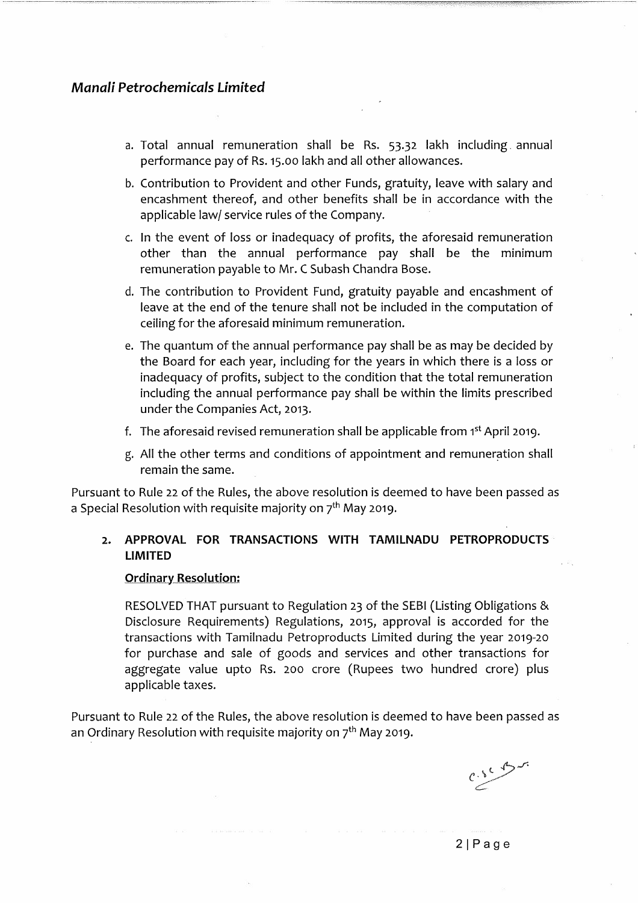## *Manali Petrochemicals Limited*

- a. Total annual remuneration shall be Rs. 53.32 lakh including. annual performance pay of Rs. 15.00 lakh and all other allowances.
- b. Contribution to Provident and other Funds, gratuity, leave with salary and encashment thereof, and other benefits shall be in accordance with the applicable law/ service rules of the Company.
- c. In the event of loss or inadequacy of profits, the aforesaid remuneration other than the annual performance pay shall be the minimum remuneration payable to Mr. C Subash Chandra Bose.
- d. The contribution to Provident Fund, gratuity payable and encashment of leave at the end of the tenure shall not be included in the computation of ceiling for the aforesaid minimum remuneration.
- e. The quantum of the annual performance pay shall be as may be decided by the Board for each year, including for the years in which there is a loss or inadequacy of profits, subject to the condition that the total remuneration including the annual performance pay shall be within the limits prescribed under the Companies Act, 2013.
- f. The aforesaid revised remuneration shall be applicable from 1st April 2019.
- g. All the other terms and conditions of appointment and remuneration shall remain the same.

Pursuant to Rule 22 of the Rules, the above resolution is deemed to have been passed as a Special Resolution with requisite majority on  $7<sup>th</sup>$  May 2019.

## **2. APPROVAL FOR TRANSACTIONS WITH TAMILNADU PETROPRODUCTS LIMITED**

#### **Ordinary Resolution:**

RESOLVED THAT pursuant to Regulation 23 of the SEBI (Listing Obligations & Disclosure Requirements) Regulations, 2015, approval is accorded for the transactions with Tamilnadu Petroproducts Limited during the year 2019-20 for purchase and sale of goods and services and other transactions for aggregate value upto Rs. 200 crore (Rupees two hundred crore) plus applicable taxes.

Pursuant to Rule 22 of the Rules, the above resolution is deemed to have been passed as an Ordinary Resolution with requisite majority on  $7<sup>th</sup>$  May 2019.

 $e^{\sqrt{2}}$ 

21Page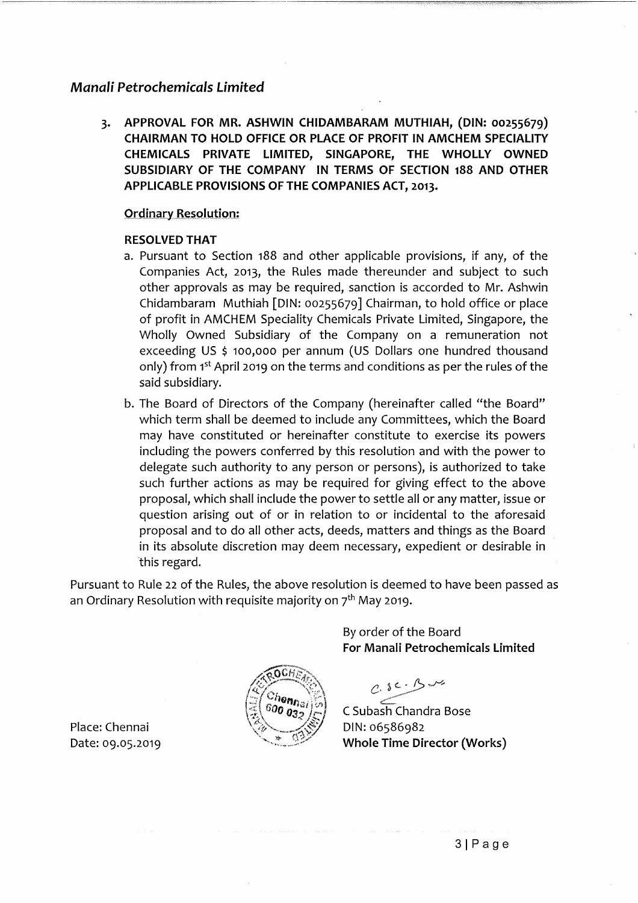## *Manali Petrochemicals Limited*

3. APPROVAL FOR MR. ASHWIN CHIDAMBARAM MUTHIAH, (DIN: 00255679) CHAIRMAN TO HOLD OFFICE OR PLACE OF PROFIT IN AMCHEM SPECIALITY CHEMICALS PRIVATE LIMITED, SINGAPORE, THE WHOLLY OWNED SUBSIDIARY OF THE COMPANY IN TERMS OF SECTION 188 AND OTHER APPLICABLE PROVISIONS OF THE COMPANIES ACT, 2013.

#### **Ordinary Resolution:**

#### RESOLVED THAT

- a. Pursuant to Section 188 and other applicable provisions, if any, of the Companies Act, 2013, the Rules made thereunder and subject to such other approvals as may be required, sanction is accorded to Mr. Ashwin Chidambaram Muthiah [DIN: 00255679] Chairman, to hold office or place of profit in AMCHEM Speciality Chemicals Private Limited, Singapore, the Wholly Owned Subsidiary of the Company on a remuneration not exceeding US \$ 100,000 per annum (US Dollars one hundred thousand only) from 1<sup>st</sup> April 2019 on the terms and conditions as per the rules of the said subsidiary.
- b. The Board of Directors of the Company (hereinafter called "the Board" which term shall be deemed to include any Committees, which the Board may have constituted or hereinafter constitute to exercise its powers including the powers conferred by this resolution and with the power to delegate such authority to any person or persons), is authorized to take such further actions as may be required for giving effect to the above proposal, which shall include the power to settle all or any matter, issue or question arising out of or in relation to or incidental to the aforesaid proposal and to do all other acts, deeds, matters and things as the Board in its absolute discretion may deem necessary, expedient or desirable in this regard.

Pursuant to Rule 22 of the Rules, the above resolution is deemed to have been passed as an Ordinary Resolution with requisite majority on  $7<sup>th</sup>$  May 2019.

henn<sub>al</sub>

By order of the Board For Manali Petrochemicals Limited

 $0.5c·B-v$ ~. C Subash Chandra Bose

DIN: 06586982 Whole Time Director (Works)

Place: Chennai Date: 09.05.2019

31Page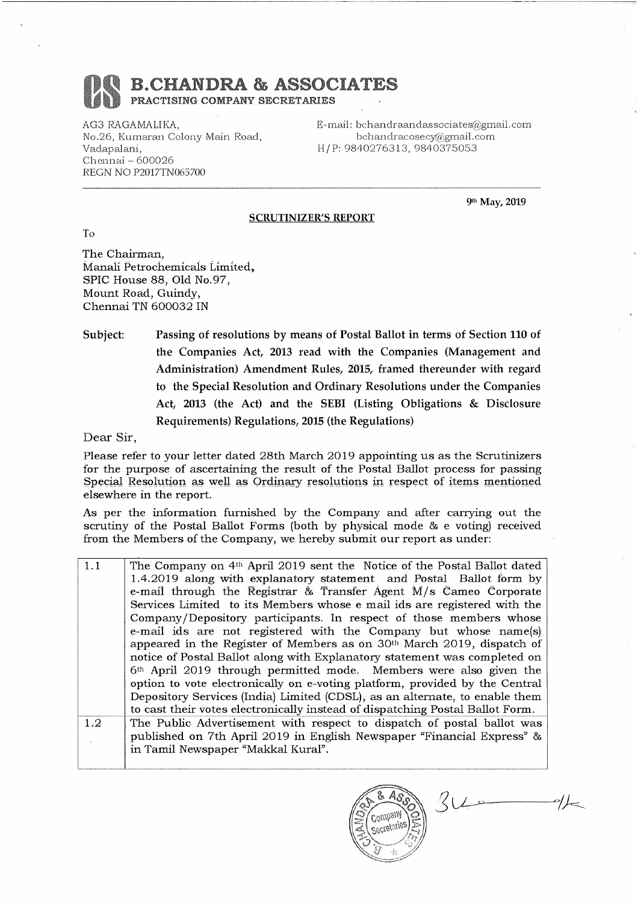# B.CHANDRA & ASSOCIATES

PRACTISING COMPANY SECRETARIES

AG3 RAGAMALIKA, No.26, Kumaran Colony Main Road, Vadapalani, Chennai - 600026 REGN NO P2017TN065700

E-mail: bchandraandassociates@gmail.com bchandracosecy@gmail.com H/P:9840276313,9840375053

-----··------------

9th May, 2019

#### SCRUTINIZER'S REPORT

To

-----------·

The Chairman, Manali Petrochemicals Limited, SPIC House 88, Old No.97, Mount Road, Guindy, Chennai TN 600032 IN

Subject: Passing of resolutions by means of Postal Ballot in terms of Section 110 of the Companies Act, 2013 read with the Companies (Management and Administration) Amendment Rules, 2015, framed thereunder with regard to the Special Resolution and Ordinary Resolutions under the Companies Act, 2013 (the Act) and the SEBI (Listing Obligations & Disclosure Requirements) Regulations, 2015 (the Regulations)

Dear Sir,

I

Please refer to your letter dated 28th March 2019 appointing us as the Scrutinizers for the purpose of ascertaining the result of the Postal Ballot process for passing Special Resolution as well as Ordinary resolutions in respect of items mentioned elsewhere in the report.

As per the information furnished by the Company and after carrying out the scrutiny of the Postal Ballot Forms (both by physical mode & e voting) received from the Members of the Company, we hereby submit our report as under:

1.1 1.2 The Company on 4th April 2019 sent the Notice of the Postal Ballot dated 1.4.2019 along with explanatory statement and Postal Ballot form by e-mail through the Registrar & Transfer Agent M/s Cameo Corporate Services Limited to its Members whose e mail ids are registered with the Company /Depository participants. In respect of those members whose e-mail ids are not registered with the Company but whose name(s) appeared in the Register of Members as on 30th March 2019, dispatch of notice of Postal Ballot along with Explanatory statement was completed on 6th April 2019 through permitted mode. Members were also given the option to vote electronically on e-voting platform, provided by the Central Depository Services (India) Limited (CDSL), as an alternate, to enable them to cast their votes electronically instead of dispatching Postal Ballot Form. The Public Advertisement with respect to dispatch of postal ballot was published on 7th April 2019 in English Newspaper "Financial Express" & in Tamil Newspaper "Makkal Kural".

Company Secretaries

 $34 -$ 

 $\rightarrow\hspace{-2.1mm}/\hspace{2.1mm}-$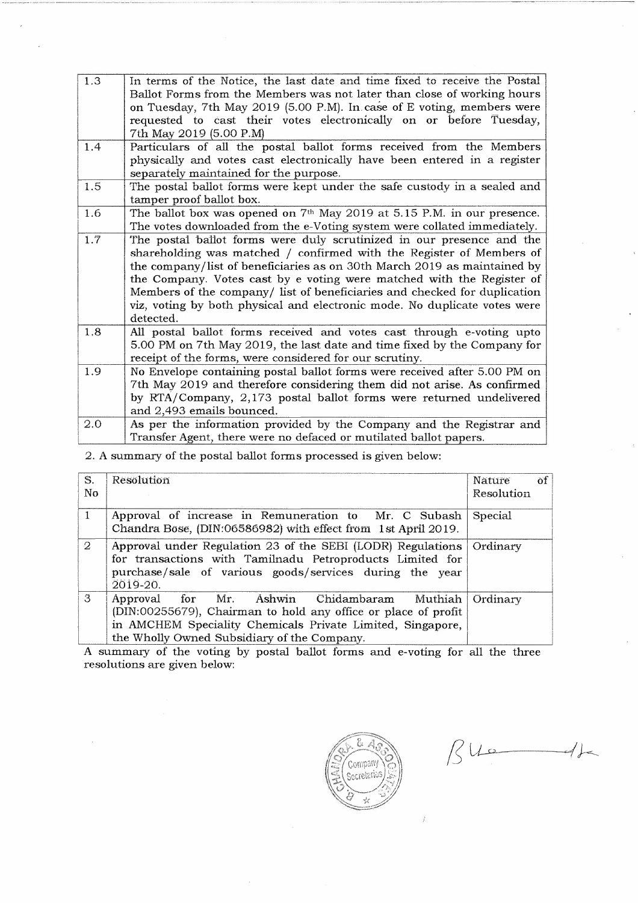| 1.3 | In terms of the Notice, the last date and time fixed to receive the Postal<br>Ballot Forms from the Members was not later than close of working hours<br>on Tuesday, 7th May 2019 (5.00 P.M). In case of E voting, members were<br>requested to cast their votes electronically on or before Tuesday,<br>7th May 2019 (5.00 P.M)                                                                                                                                          |
|-----|---------------------------------------------------------------------------------------------------------------------------------------------------------------------------------------------------------------------------------------------------------------------------------------------------------------------------------------------------------------------------------------------------------------------------------------------------------------------------|
| 1.4 | Particulars of all the postal ballot forms received from the Members<br>physically and votes cast electronically have been entered in a register                                                                                                                                                                                                                                                                                                                          |
|     | separately maintained for the purpose.                                                                                                                                                                                                                                                                                                                                                                                                                                    |
| 1.5 | The postal ballot forms were kept under the safe custody in a sealed and<br>tamper proof ballot box.                                                                                                                                                                                                                                                                                                                                                                      |
| 1.6 | The ballot box was opened on 7 <sup>th</sup> May 2019 at 5.15 P.M. in our presence.<br>The votes downloaded from the e-Voting system were collated immediately.                                                                                                                                                                                                                                                                                                           |
| 1.7 | The postal ballot forms were duly scrutinized in our presence and the<br>shareholding was matched / confirmed with the Register of Members of<br>the company/list of beneficiaries as on 30th March 2019 as maintained by<br>the Company. Votes cast by e voting were matched with the Register of<br>Members of the company/ list of beneficiaries and checked for duplication<br>viz, voting by both physical and electronic mode. No duplicate votes were<br>detected. |
| 1.8 | All postal ballot forms received and votes cast through e-voting upto<br>5.00 PM on 7th May 2019, the last date and time fixed by the Company for<br>receipt of the forms, were considered for our scrutiny.                                                                                                                                                                                                                                                              |
| 1.9 | No Envelope containing postal ballot forms were received after 5.00 PM on<br>7th May 2019 and therefore considering them did not arise. As confirmed<br>by RTA/Company, 2,173 postal ballot forms were returned undelivered<br>and 2,493 emails bounced.                                                                                                                                                                                                                  |
| 2.0 | As per the information provided by the Company and the Registrar and<br>Transfer Agent, there were no defaced or mutilated ballot papers.                                                                                                                                                                                                                                                                                                                                 |

#### 2. A summary of the postal ballot forms processed is given below:

| S.<br>No.      | Resolution                                                                                                                                                                                                                 | öf<br>Nature<br>Resolution |
|----------------|----------------------------------------------------------------------------------------------------------------------------------------------------------------------------------------------------------------------------|----------------------------|
| $\mathbf{1}$   | Approval of increase in Remuneration to Mr. C Subash<br>Chandra Bose, (DIN:06586982) with effect from 1st April 2019.                                                                                                      | Special                    |
| $\overline{2}$ | Approval under Regulation 23 of the SEBI (LODR) Regulations<br>for transactions with Tamilnadu Petroproducts Limited for<br>purchase/sale of various goods/services during the year<br>2019-20.                            | Ordinary                   |
| 3              | Approval for Mr. Ashwin Chidambaram Muthiah<br>(DIN:00255679), Chairman to hold any office or place of profit<br>in AMCHEM Speciality Chemicals Private Limited, Singapore,<br>the Wholly Owned Subsidiary of the Company. | Ordinary                   |

A summary of the voting by postal ballot forms and e-voting for all the three resolutions are given below:



 $\beta$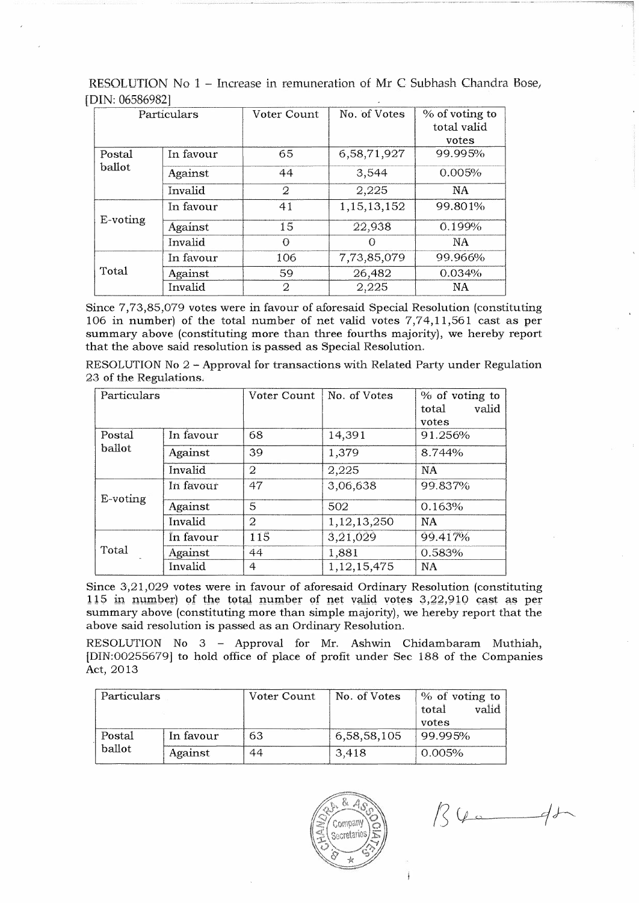| Particulars      |           | Voter Count    | No. of Votes   | % of voting to |
|------------------|-----------|----------------|----------------|----------------|
|                  |           |                |                | total valid    |
|                  |           |                |                | votes          |
| Postal<br>ballot | In favour | 65             | 6,58,71,927    | 99.995%        |
|                  | Against   | 44             | 3,544          | 0.005%         |
|                  | Invalid   | $\overline{2}$ | 2,225          | <b>NA</b>      |
|                  | In favour | 41             | 1, 15, 13, 152 | 99.801%        |
| E-voting         | Against   | 15             | 22,938         | 0.199%         |
|                  | Invalid   | $\Omega$       |                | NA.            |
|                  | In favour | 106            | 7,73,85,079    | 99.966%        |
| Total            | Against   | 59             | 26,482         | 0.034%         |
|                  | Invalid   | $\overline{2}$ | 2,225          | NA             |

RESOLUTION No 1 - Increase in remuneration of Mr C Subhash Chandra Bose, [DIN: 06586982]

Since 7,73,85,079 votes were in favour of aforesaid Special Resolution (constituting 106 in number) of the total number of net valid votes 7,74,11,561 cast as per summary above (constituting more than three fourths majority), we hereby report that the above said resolution is passed as Special Resolution.

RESOLUTION No 2 - Approval for transactions with Related Party under Regulation 23 of the Regulations.

| Particulars |           | Voter Count    | No. of Votes | % of voting to<br>valid<br>total<br>votes |
|-------------|-----------|----------------|--------------|-------------------------------------------|
| Postal      | In favour | 68             | 14,391       | 91.256%                                   |
| ballot      | Against   | 39             | 1,379        | 8.744%                                    |
|             | Invalid   | $\overline{2}$ | 2,225        | NA                                        |
| E-voting    | In favour | 47             | 3,06,638     | 99.837%                                   |
|             | Against   | 5              | 502          | 0.163%                                    |
|             | Invalid   | $\overline{2}$ | 1,12,13,250  | <b>NA</b>                                 |
|             | In favour | 115            | 3,21,029     | 99.417%                                   |
| Total       | Against   | 44             | 1,881        | 0.583%                                    |
|             | Invalid   | $\overline{4}$ | 1,12,15,475  | <b>NA</b>                                 |

Since 3,21,029 votes were in favour of aforesaid Ordinary Resolution (constituting 115 in number) of the total number of net valid votes  $3,22,910$  cast as per summary above (constituting more than simple majority), we hereby report that the above said resolution is passed as an Ordinary Resolution.

RESOLUTION No 3 - Approval for Mr. Ashwin Chidambaram Muthiah, [DIN:00255679] to hold office of place of profit under Sec 188 of the Companies Act, 2013

| Particulars |           | Voter Count | No. of Votes | % of voting to<br>valid<br>total<br>votes |
|-------------|-----------|-------------|--------------|-------------------------------------------|
| Postal      | In favour | 63          | 6,58,58,105  | 99.995%                                   |
| ballot      | Against   | 44          | 3,418        | 0.005%                                    |



 $136 - 41$